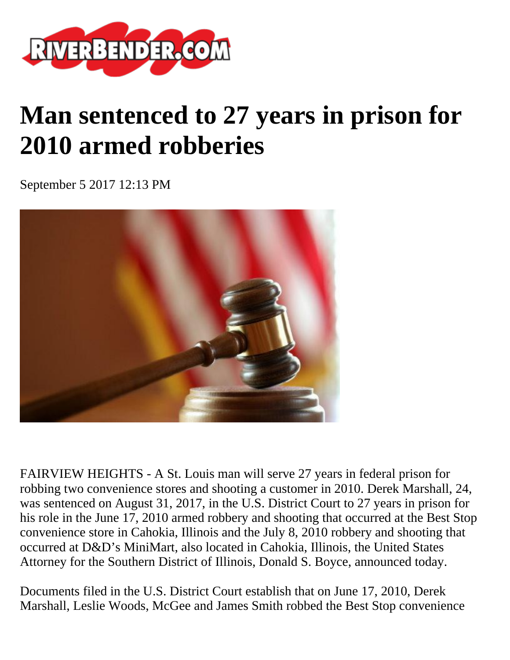

## **Man sentenced to 27 years in prison for 2010 armed robberies**

September 5 2017 12:13 PM



FAIRVIEW HEIGHTS - A St. Louis man will serve 27 years in federal prison for robbing two convenience stores and shooting a customer in 2010. Derek Marshall, 24, was sentenced on August 31, 2017, in the U.S. District Court to 27 years in prison for his role in the June 17, 2010 armed robbery and shooting that occurred at the Best Stop convenience store in Cahokia, Illinois and the July 8, 2010 robbery and shooting that occurred at D&D's MiniMart, also located in Cahokia, Illinois, the United States Attorney for the Southern District of Illinois, Donald S. Boyce, announced today.

Documents filed in the U.S. District Court establish that on June 17, 2010, Derek Marshall, Leslie Woods, McGee and James Smith robbed the Best Stop convenience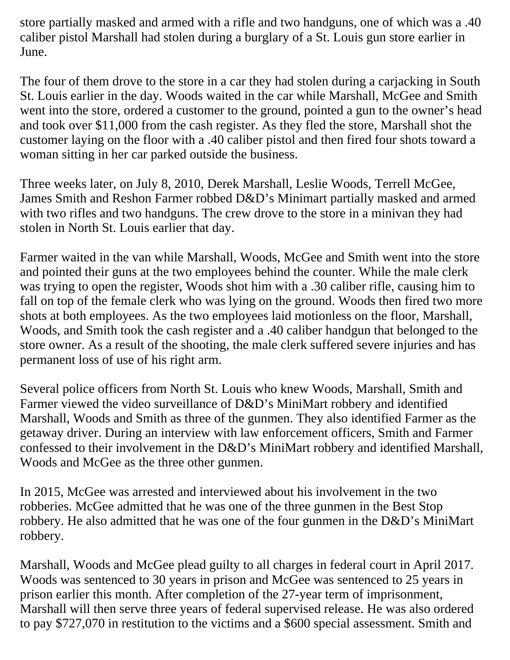store partially masked and armed with a rifle and two handguns, one of which was a .40 caliber pistol Marshall had stolen during a burglary of a St. Louis gun store earlier in June.

The four of them drove to the store in a car they had stolen during a carjacking in South St. Louis earlier in the day. Woods waited in the car while Marshall, McGee and Smith went into the store, ordered a customer to the ground, pointed a gun to the owner's head and took over \$11,000 from the cash register. As they fled the store, Marshall shot the customer laying on the floor with a .40 caliber pistol and then fired four shots toward a woman sitting in her car parked outside the business.

Three weeks later, on July 8, 2010, Derek Marshall, Leslie Woods, Terrell McGee, James Smith and Reshon Farmer robbed D&D's Minimart partially masked and armed with two rifles and two handguns. The crew drove to the store in a minivan they had stolen in North St. Louis earlier that day.

Farmer waited in the van while Marshall, Woods, McGee and Smith went into the store and pointed their guns at the two employees behind the counter. While the male clerk was trying to open the register, Woods shot him with a .30 caliber rifle, causing him to fall on top of the female clerk who was lying on the ground. Woods then fired two more shots at both employees. As the two employees laid motionless on the floor, Marshall, Woods, and Smith took the cash register and a .40 caliber handgun that belonged to the store owner. As a result of the shooting, the male clerk suffered severe injuries and has permanent loss of use of his right arm.

Several police officers from North St. Louis who knew Woods, Marshall, Smith and Farmer viewed the video surveillance of D&D's MiniMart robbery and identified Marshall, Woods and Smith as three of the gunmen. They also identified Farmer as the getaway driver. During an interview with law enforcement officers, Smith and Farmer confessed to their involvement in the D&D's MiniMart robbery and identified Marshall, Woods and McGee as the three other gunmen.

In 2015, McGee was arrested and interviewed about his involvement in the two robberies. McGee admitted that he was one of the three gunmen in the Best Stop robbery. He also admitted that he was one of the four gunmen in the D&D's MiniMart robbery.

Marshall, Woods and McGee plead guilty to all charges in federal court in April 2017. Woods was sentenced to 30 years in prison and McGee was sentenced to 25 years in prison earlier this month. After completion of the 27-year term of imprisonment, Marshall will then serve three years of federal supervised release. He was also ordered to pay \$727,070 in restitution to the victims and a \$600 special assessment. Smith and